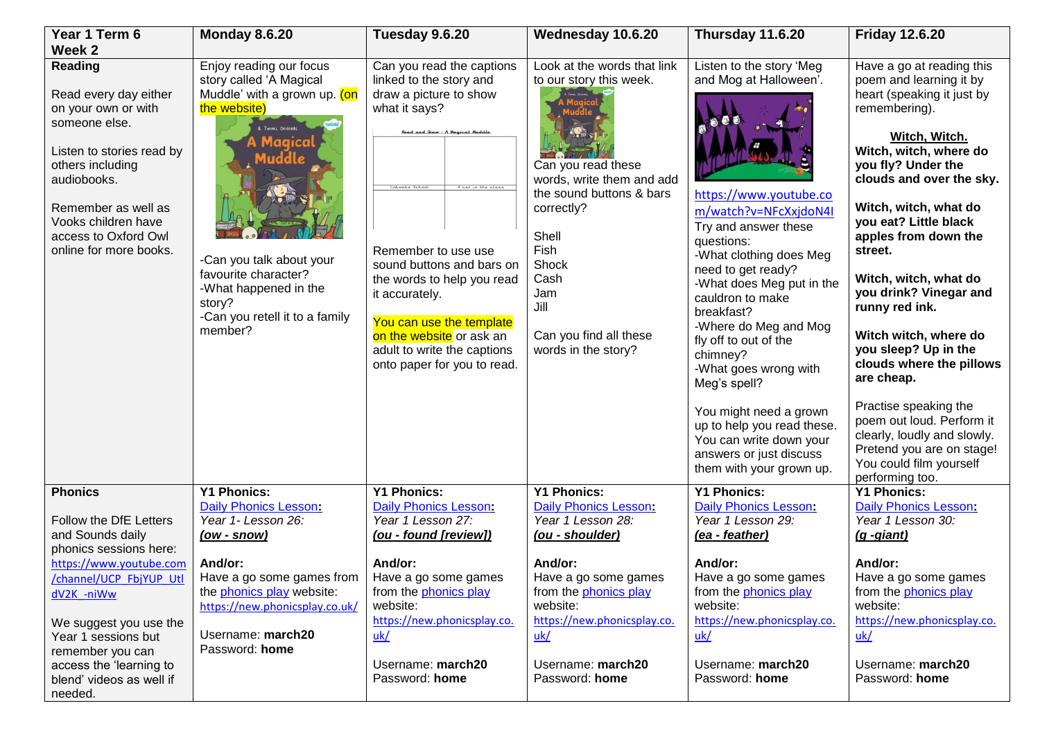| Year 1 Term 6                                                                                                                                                                                                                                                                          | <b>Monday 8.6.20</b>                                                                                                                                                                                                                                                  | Tuesday 9.6.20                                                                                                                                                                                                                                                                                                                                                                                       | Wednesday 10.6.20                                                                                                                                                                                                                                     | Thursday 11.6.20                                                                                                                                                                                                                                                                                                                                                                                                                                                                                             | <b>Friday 12.6.20</b>                                                                                                                                                                                                                                                                                                                                                                                                                                                                                                                                                                                                 |
|----------------------------------------------------------------------------------------------------------------------------------------------------------------------------------------------------------------------------------------------------------------------------------------|-----------------------------------------------------------------------------------------------------------------------------------------------------------------------------------------------------------------------------------------------------------------------|------------------------------------------------------------------------------------------------------------------------------------------------------------------------------------------------------------------------------------------------------------------------------------------------------------------------------------------------------------------------------------------------------|-------------------------------------------------------------------------------------------------------------------------------------------------------------------------------------------------------------------------------------------------------|--------------------------------------------------------------------------------------------------------------------------------------------------------------------------------------------------------------------------------------------------------------------------------------------------------------------------------------------------------------------------------------------------------------------------------------------------------------------------------------------------------------|-----------------------------------------------------------------------------------------------------------------------------------------------------------------------------------------------------------------------------------------------------------------------------------------------------------------------------------------------------------------------------------------------------------------------------------------------------------------------------------------------------------------------------------------------------------------------------------------------------------------------|
| Week 2<br><b>Reading</b><br>Read every day either<br>on your own or with<br>someone else.<br>Listen to stories read by<br>others including<br>audiobooks.<br>Remember as well as<br>Vooks children have<br>access to Oxford Owl<br>online for more books.                              | Enjoy reading our focus<br>story called 'A Magical<br>Muddle' with a grown up. (on<br>the website)<br>A TWINKL ORIGINAL<br>100160<br>-Can you talk about your<br>favourite character?<br>-What happened in the<br>story?<br>-Can you retell it to a family<br>member? | Can you read the captions<br>linked to the story and<br>draw a picture to show<br>what it says?<br>Read and Draw - A Magical Muddle.<br>Cohwebs School<br>cat in the class<br>Remember to use use<br>sound buttons and bars on<br>the words to help you read<br>it accurately.<br>You can use the template<br>on the website or ask an<br>adult to write the captions<br>onto paper for you to read. | Look at the words that link<br>to our story this week.<br>Can you read these<br>words, write them and add<br>the sound buttons & bars<br>correctly?<br>Shell<br>Fish<br>Shock<br>Cash<br>Jam<br>Jill<br>Can you find all these<br>words in the story? | Listen to the story 'Meg<br>and Mog at Halloween'.<br>https://www.youtube.co<br>m/watch?v=NFcXxjdoN4I<br>Try and answer these<br>questions:<br>-What clothing does Meg<br>need to get ready?<br>-What does Meg put in the<br>cauldron to make<br>breakfast?<br>-Where do Meg and Mog<br>fly off to out of the<br>chimney?<br>-What goes wrong with<br>Meg's spell?<br>You might need a grown<br>up to help you read these.<br>You can write down your<br>answers or just discuss<br>them with your grown up. | Have a go at reading this<br>poem and learning it by<br>heart (speaking it just by<br>remembering).<br>Witch, Witch.<br>Witch, witch, where do<br>you fly? Under the<br>clouds and over the sky.<br>Witch, witch, what do<br>you eat? Little black<br>apples from down the<br>street.<br>Witch, witch, what do<br>you drink? Vinegar and<br>runny red ink.<br>Witch witch, where do<br>you sleep? Up in the<br>clouds where the pillows<br>are cheap.<br>Practise speaking the<br>poem out loud. Perform it<br>clearly, loudly and slowly.<br>Pretend you are on stage!<br>You could film yourself<br>performing too. |
| <b>Phonics</b><br>Follow the DfE Letters<br>and Sounds daily<br>phonics sessions here:<br>https://www.youtube.com<br>/channel/UCP FbjYUP Utl<br>dV2K -niWw<br>We suggest you use the<br>Year 1 sessions but<br>remember you can<br>access the 'learning to<br>blend' videos as well if | <b>Y1 Phonics:</b><br>Daily Phonics Lesson:<br>Year 1- Lesson 26:<br><u>(ow - snow)</u><br>And/or:<br>Have a go some games from<br>the phonics play website:<br>https://new.phonicsplay.co.uk/<br>Username: march20<br>Password: home                                 | <b>Y1 Phonics:</b><br><b>Daily Phonics Lesson:</b><br>Year 1 Lesson 27:<br>(ou - found [review])<br>And/or:<br>Have a go some games<br>from the phonics play<br>website:<br>https://new.phonicsplay.co.<br>uk/<br>Username: march20<br>Password: home                                                                                                                                                | <b>Y1 Phonics:</b><br>Daily Phonics Lesson:<br>Year 1 Lesson 28:<br>(ou - shoulder)<br>And/or:<br>Have a go some games<br>from the phonics play<br>website:<br>https://new.phonicsplay.co.<br>uk/<br>Username: march20<br>Password: home              | <b>Y1 Phonics:</b><br>Daily Phonics Lesson:<br>Year 1 Lesson 29:<br><u>(ea - feather)</u><br>And/or:<br>Have a go some games<br>from the phonics play<br>website:<br>https://new.phonicsplay.co.<br>uk/<br>Username: march20<br>Password: home                                                                                                                                                                                                                                                               | <b>Y1 Phonics:</b><br><b>Daily Phonics Lesson:</b><br>Year 1 Lesson 30:<br>(g -giant)<br>And/or:<br>Have a go some games<br>from the phonics play<br>website:<br>https://new.phonicsplay.co.<br>uk/<br>Username: march20<br>Password: home                                                                                                                                                                                                                                                                                                                                                                            |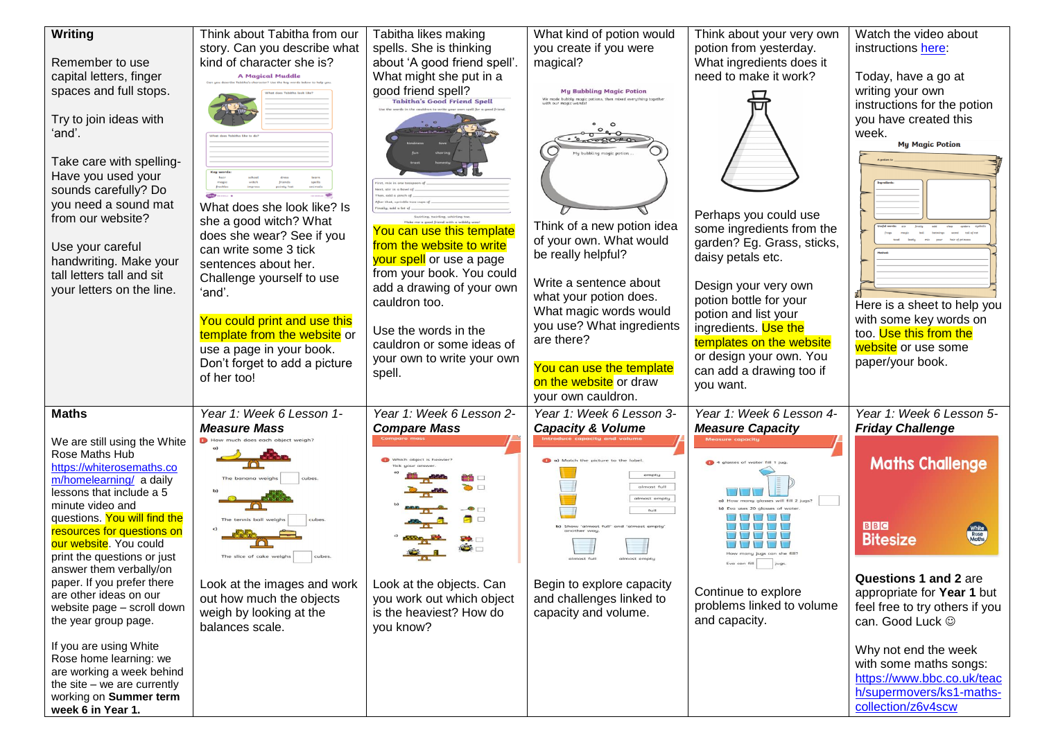| Writing                                                                                                                                                                                                                                                                                                                  | Think about Tabitha from our<br>story. Can you describe what                                                                                                     | Tabitha likes making<br>spells. She is thinking                                                                               | What kind of potion would<br>you create if you were                                                      | Think about your very own<br>potion from yesterday.                                                                                                   | Watch the video about<br>instructions here:                                                                                              |
|--------------------------------------------------------------------------------------------------------------------------------------------------------------------------------------------------------------------------------------------------------------------------------------------------------------------------|------------------------------------------------------------------------------------------------------------------------------------------------------------------|-------------------------------------------------------------------------------------------------------------------------------|----------------------------------------------------------------------------------------------------------|-------------------------------------------------------------------------------------------------------------------------------------------------------|------------------------------------------------------------------------------------------------------------------------------------------|
| Remember to use<br>capital letters, finger<br>spaces and full stops.<br>Try to join ideas with                                                                                                                                                                                                                           | kind of character she is?<br><b>A Magical Muddle</b>                                                                                                             | about 'A good friend spell'.<br>What might she put in a<br>good friend spell?<br>Tabitha's Good Friend Spell                  | magical?<br><b>My Bubbling Magic Potion</b>                                                              | What ingredients does it<br>need to make it work?                                                                                                     | Today, have a go at<br>writing your own<br>instructions for the potion<br>you have created this                                          |
| ʻand'.<br>Take care with spelling-<br>Have you used your<br>sounds carefully? Do                                                                                                                                                                                                                                         |                                                                                                                                                                  |                                                                                                                               |                                                                                                          |                                                                                                                                                       | week.<br><b>My Magic Potion</b>                                                                                                          |
| you need a sound mat<br>from our website?<br>Use your careful<br>handwriting. Make your<br>tall letters tall and sit                                                                                                                                                                                                     | What does she look like? Is<br>she a good witch? What<br>does she wear? See if you<br>can write some 3 tick<br>sentences about her.<br>Challenge yourself to use | You can use this template<br>from the website to write<br>your spell or use a page<br>from your book. You could               | Think of a new potion idea<br>of your own. What would<br>be really helpful?<br>Write a sentence about    | Perhaps you could use<br>some ingredients from the<br>garden? Eg. Grass, sticks,<br>daisy petals etc.                                                 |                                                                                                                                          |
| your letters on the line.                                                                                                                                                                                                                                                                                                | ʻand'.<br>You could print and use this<br>template from the website or<br>use a page in your book.<br>Don't forget to add a picture                              | add a drawing of your own<br>cauldron too.<br>Use the words in the<br>cauldron or some ideas of<br>your own to write your own | what your potion does.<br>What magic words would<br>you use? What ingredients<br>are there?              | Design your very own<br>potion bottle for your<br>potion and list your<br>ingredients. Use the<br>templates on the website<br>or design your own. You | Here is a sheet to help you<br>with some key words on<br>too. Use this from the<br>website or use some<br>paper/your book.               |
|                                                                                                                                                                                                                                                                                                                          | of her too!                                                                                                                                                      | spell.                                                                                                                        | You can use the template<br>on the website or draw<br>your own cauldron.                                 | can add a drawing too if<br>you want.                                                                                                                 |                                                                                                                                          |
| <b>Maths</b><br>We are still using the White<br>Rose Maths Hub<br>https://whiterosemaths.co<br>m/homelearning/ a daily<br>lessons that include a 5<br>minute video and<br>questions. You will find the<br>resources for questions on<br>our website. You could<br>print the questions or just<br>answer them verbally/on | Year 1: Week 6 Lesson 1-<br><b>Measure Mass</b><br>The slice of cake weight                                                                                      | Year 1: Week 6 Lesson 2-<br><b>Compare Mass</b><br>$\Box$                                                                     | Year 1: Week 6 Lesson 3-<br><b>Capacity &amp; Volume</b><br>empty<br>almost full<br>almost empty<br>full | Year 1: Week 6 Lesson 4-<br><b>Measure Capacity</b><br>Eva can fill                                                                                   | Year 1: Week 6 Lesson 5-<br><b>Friday Challenge</b><br><b>Maths Challenge</b><br><b>BBC</b><br>White<br>Rose<br>Maths<br><b>Bitesize</b> |
| paper. If you prefer there<br>are other ideas on our<br>website page - scroll down<br>the year group page.                                                                                                                                                                                                               | Look at the images and work<br>out how much the objects<br>weigh by looking at the<br>balances scale.                                                            | Look at the objects. Can<br>you work out which object<br>is the heaviest? How do<br>you know?                                 | Begin to explore capacity<br>and challenges linked to<br>capacity and volume.                            | Continue to explore<br>problems linked to volume<br>and capacity.                                                                                     | Questions 1 and 2 are<br>appropriate for Year 1 but<br>feel free to try others if you<br>can. Good Luck $\odot$                          |
| If you are using White<br>Rose home learning: we<br>are working a week behind<br>the site $-$ we are currently<br>working on Summer term<br>week 6 in Year 1.                                                                                                                                                            |                                                                                                                                                                  |                                                                                                                               |                                                                                                          |                                                                                                                                                       | Why not end the week<br>with some maths songs:<br>https://www.bbc.co.uk/teac<br>h/supermovers/ks1-maths-<br>collection/z6v4scw           |